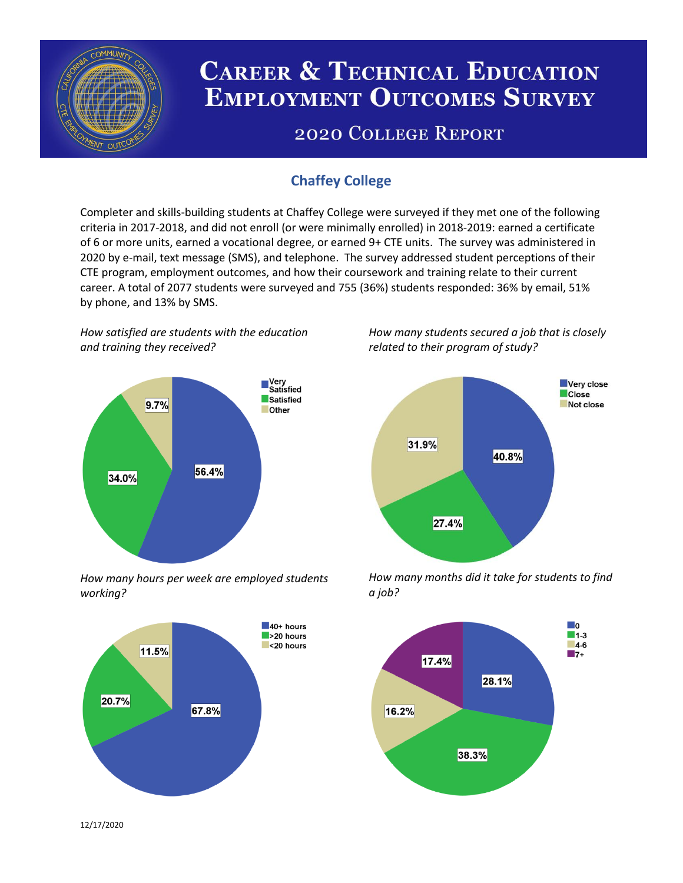

# **CAREER & TECHNICAL EDUCATION EMPLOYMENT OUTCOMES SURVEY**

## **2020 COLLEGE REPORT**

### **Chaffey College**

Completer and skills-building students at Chaffey College were surveyed if they met one of the following criteria in 2017-2018, and did not enroll (or were minimally enrolled) in 2018-2019: earned a certificate of 6 or more units, earned a vocational degree, or earned 9+ CTE units. The survey was administered in 2020 by e-mail, text message (SMS), and telephone. The survey addressed student perceptions of their CTE program, employment outcomes, and how their coursework and training relate to their current career. A total of 2077 students were surveyed and 755 (36%) students responded: 36% by email, 51% by phone, and 13% by SMS.

*How satisfied are students with the education and training they received?*



*How many hours per week are employed students working?*



*How many students secured a job that is closely related to their program of study?*



*How many months did it take for students to find a job?*



12/17/2020